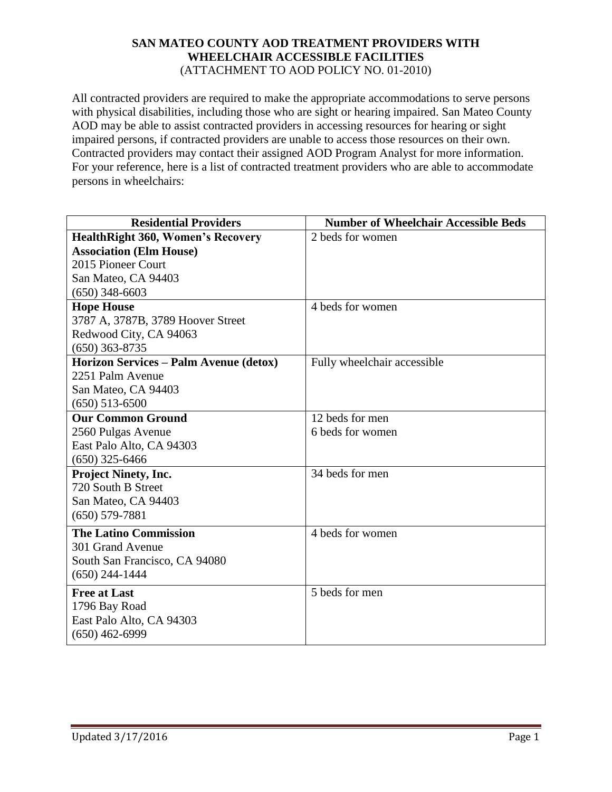## **SAN MATEO COUNTY AOD TREATMENT PROVIDERS WITH WHEELCHAIR ACCESSIBLE FACILITIES** (ATTACHMENT TO AOD POLICY NO. 01-2010)

All contracted providers are required to make the appropriate accommodations to serve persons with physical disabilities, including those who are sight or hearing impaired. San Mateo County AOD may be able to assist contracted providers in accessing resources for hearing or sight impaired persons, if contracted providers are unable to access those resources on their own. Contracted providers may contact their assigned AOD Program Analyst for more information. For your reference, here is a list of contracted treatment providers who are able to accommodate persons in wheelchairs:

| <b>Residential Providers</b>             | <b>Number of Wheelchair Accessible Beds</b> |
|------------------------------------------|---------------------------------------------|
| <b>HealthRight 360, Women's Recovery</b> | 2 beds for women                            |
| <b>Association (Elm House)</b>           |                                             |
| 2015 Pioneer Court                       |                                             |
| San Mateo, CA 94403                      |                                             |
| $(650)$ 348-6603                         |                                             |
| <b>Hope House</b>                        | 4 beds for women                            |
| 3787 A, 3787B, 3789 Hoover Street        |                                             |
| Redwood City, CA 94063                   |                                             |
| $(650)$ 363-8735                         |                                             |
| Horizon Services - Palm Avenue (detox)   | Fully wheelchair accessible                 |
| 2251 Palm Avenue                         |                                             |
| San Mateo, CA 94403                      |                                             |
| $(650)$ 513-6500                         |                                             |
| <b>Our Common Ground</b>                 | 12 beds for men                             |
| 2560 Pulgas Avenue                       | 6 beds for women                            |
| East Palo Alto, CA 94303                 |                                             |
| $(650)$ 325-6466                         |                                             |
| <b>Project Ninety, Inc.</b>              | 34 beds for men                             |
| 720 South B Street                       |                                             |
| San Mateo, CA 94403                      |                                             |
| $(650) 579 - 7881$                       |                                             |
| <b>The Latino Commission</b>             | 4 beds for women                            |
| 301 Grand Avenue                         |                                             |
| South San Francisco, CA 94080            |                                             |
| $(650)$ 244-1444                         |                                             |
| <b>Free at Last</b>                      | 5 beds for men                              |
| 1796 Bay Road                            |                                             |
| East Palo Alto, CA 94303                 |                                             |
| $(650)$ 462-6999                         |                                             |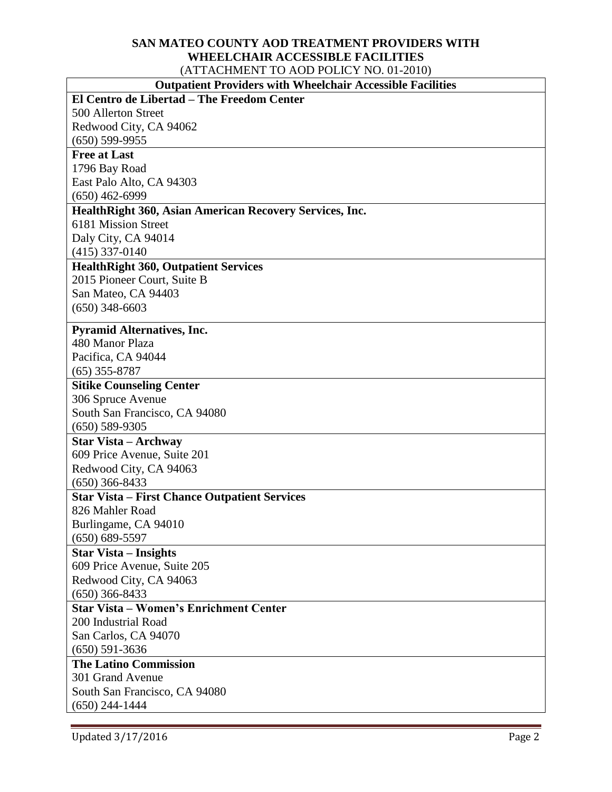## **SAN MATEO COUNTY AOD TREATMENT PROVIDERS WITH WHEELCHAIR ACCESSIBLE FACILITIES** (ATTACHMENT TO AOD POLICY NO. 01-2010)

| <b>Outpatient Providers with Wheelchair Accessible Facilities</b> |
|-------------------------------------------------------------------|
|-------------------------------------------------------------------|

| <b>Outpatient Providers with Wheelchair Accessible Facilities</b> |  |
|-------------------------------------------------------------------|--|
| El Centro de Libertad - The Freedom Center                        |  |
| 500 Allerton Street                                               |  |
| Redwood City, CA 94062                                            |  |
| $(650)$ 599-9955                                                  |  |
| <b>Free at Last</b>                                               |  |
| 1796 Bay Road                                                     |  |
| East Palo Alto, CA 94303                                          |  |
| $(650)$ 462-6999                                                  |  |
| Health Right 360, Asian American Recovery Services, Inc.          |  |
| 6181 Mission Street                                               |  |
| Daly City, CA 94014                                               |  |
| $(415)$ 337-0140                                                  |  |
| <b>HealthRight 360, Outpatient Services</b>                       |  |
| 2015 Pioneer Court, Suite B                                       |  |
| San Mateo, CA 94403                                               |  |
| $(650)$ 348-6603                                                  |  |
| <b>Pyramid Alternatives, Inc.</b>                                 |  |
| 480 Manor Plaza                                                   |  |
| Pacifica, CA 94044                                                |  |
| $(65)$ 355-8787                                                   |  |
| <b>Sitike Counseling Center</b>                                   |  |
| 306 Spruce Avenue                                                 |  |
| South San Francisco, CA 94080                                     |  |
| $(650) 589 - 9305$                                                |  |
| <b>Star Vista – Archway</b>                                       |  |
| 609 Price Avenue, Suite 201                                       |  |
| Redwood City, CA 94063                                            |  |
| $(650)$ 366-8433                                                  |  |
| <b>Star Vista – First Chance Outpatient Services</b>              |  |
| 826 Mahler Road                                                   |  |
| Burlingame, CA 94010<br>$(650) 689 - 5597$                        |  |
| <b>Star Vista – Insights</b>                                      |  |
| 609 Price Avenue, Suite 205                                       |  |
| Redwood City, CA 94063                                            |  |
| $(650)$ 366-8433                                                  |  |
| <b>Star Vista – Women's Enrichment Center</b>                     |  |
| 200 Industrial Road                                               |  |
| San Carlos, CA 94070                                              |  |
| $(650) 591 - 3636$                                                |  |
| <b>The Latino Commission</b>                                      |  |
| 301 Grand Avenue                                                  |  |
| South San Francisco, CA 94080                                     |  |
| $(650)$ 244-1444                                                  |  |

 $\overline{\phantom{a}}$